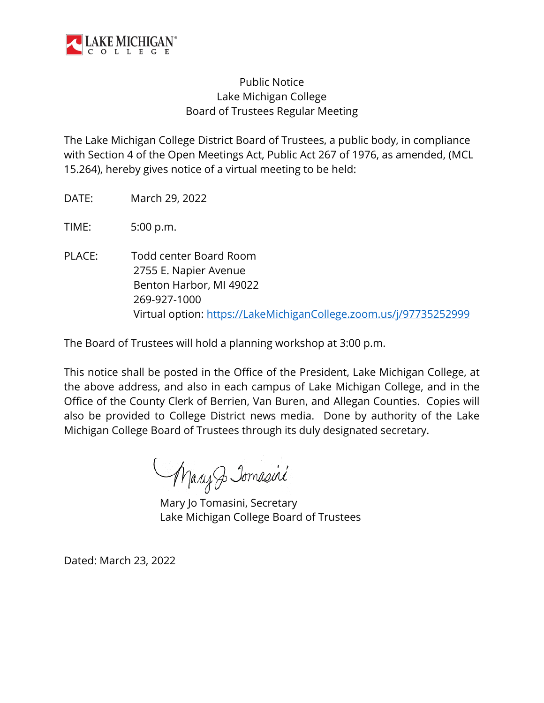

## Public Notice Lake Michigan College Board of Trustees Regular Meeting

The Lake Michigan College District Board of Trustees, a public body, in compliance with Section 4 of the Open Meetings Act, Public Act 267 of 1976, as amended, (MCL 15.264), hereby gives notice of a virtual meeting to be held:

DATE: March 29, 2022

TIME: 5:00 p.m.

PLACE: Todd center Board Room 2755 E. Napier Avenue Benton Harbor, MI 49022 269-927-1000 Virtual option: [https://LakeMichiganCollege.zoom.us/j/97735252999](https://lakemichigancollege.zoom.us/j/97735252999)

The Board of Trustees will hold a planning workshop at 3:00 p.m.

This notice shall be posted in the Office of the President, Lake Michigan College, at the above address, and also in each campus of Lake Michigan College, and in the Office of the County Clerk of Berrien, Van Buren, and Allegan Counties. Copies will also be provided to College District news media. Done by authority of the Lake Michigan College Board of Trustees through its duly designated secretary.

Mary Jomasini

Mary Jo Tomasini, Secretary Lake Michigan College Board of Trustees

Dated: March 23, 2022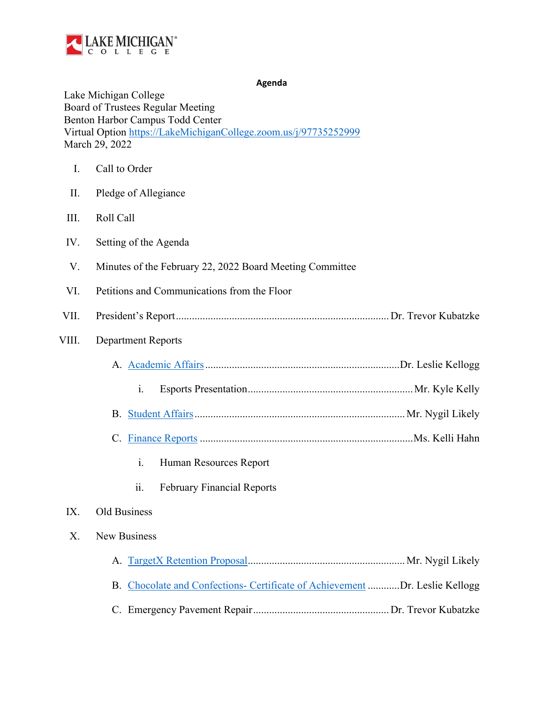

**Agenda**

Lake Michigan College Board of Trustees Regular Meeting Benton Harbor Campus Todd Center Virtual Option [https://LakeMichiganCollege.zoom.us/j/97735252999](https://lakemichigancollege.zoom.us/j/97735252999) March 29, 2022

| $\mathbf{I}$ . | Call to Order                                            |
|----------------|----------------------------------------------------------|
| II.            | Pledge of Allegiance                                     |
| III.           | Roll Call                                                |
| IV.            | Setting of the Agenda                                    |
| V.             | Minutes of the February 22, 2022 Board Meeting Committee |
| VI.            | Petitions and Communications from the Floor              |
| VII.           |                                                          |
| VIII.          | <b>Department Reports</b>                                |
|                |                                                          |
|                | i.                                                       |
|                |                                                          |
|                |                                                          |
|                | i.<br>Human Resources Report                             |
|                | ii.<br><b>February Financial Reports</b>                 |
| IX.            | Old Business                                             |
| Χ.             | New Business                                             |

<span id="page-1-0"></span>

| B. Chocolate and Confections- Certificate of Achievement Dr. Leslie Kellogg |  |
|-----------------------------------------------------------------------------|--|
|                                                                             |  |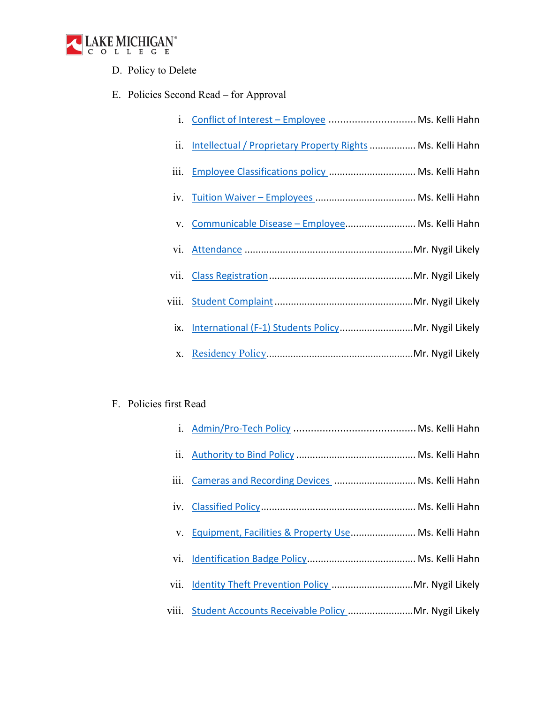

D. Policy to Delete

## E. Policies Second Read – for Approval

|  |  | i. Conflict of Interest - Employee  Ms. Kelli Hahn |
|--|--|----------------------------------------------------|
|--|--|----------------------------------------------------|

- ii. Intellectual / Proprietary Property Rights................. Ms. Kelli Hahn
- iii. Employee Classifications policy ................................ Ms. Kelli Hahn
- iv. Tuition Waiver Employees ..................................... Ms. Kelli Hahn
- v. Communicable Disease Employee.......................... Ms. Kelli Hahn
- vi. Attendance ..............................................................Mr. Nygil Likely
- vii. Class Registration.....................................................Mr. Nygil Likely
- viii. Student Complaint...................................................Mr. Nygil Likely
	- ix. International (F-1) Students Policy..............................Mr. Nygil Likely
	- x. Residency Policy ....................................................... Mr. Nygil Likely

## F. Policies first Read

| iii. Cameras and Recording Devices  Ms. Kelli Hahn         |  |
|------------------------------------------------------------|--|
|                                                            |  |
| v. Equipment, Facilities & Property Use Ms. Kelli Hahn     |  |
|                                                            |  |
|                                                            |  |
| viii. Student Accounts Receivable Policy  Mr. Nygil Likely |  |